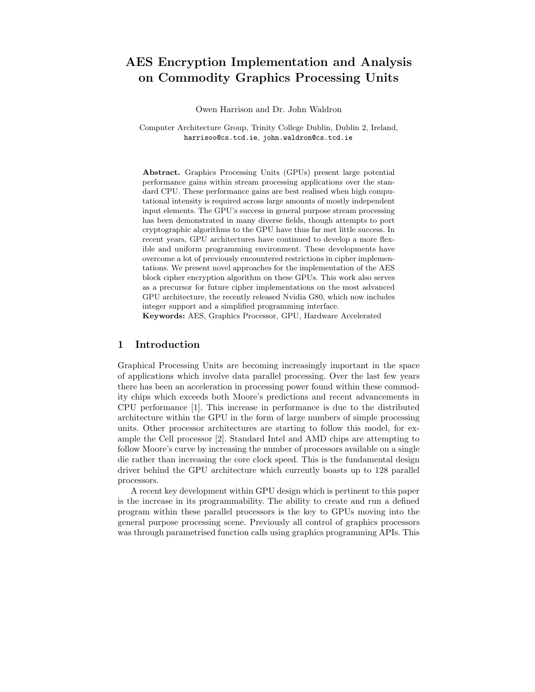# AES Encryption Implementation and Analysis on Commodity Graphics Processing Units

Owen Harrison and Dr. John Waldron

Computer Architecture Group, Trinity College Dublin, Dublin 2, Ireland, harrisoo@cs.tcd.ie, john.waldron@cs.tcd.ie

Abstract. Graphics Processing Units (GPUs) present large potential performance gains within stream processing applications over the standard CPU. These performance gains are best realised when high computational intensity is required across large amounts of mostly independent input elements. The GPU's success in general purpose stream processing has been demonstrated in many diverse fields, though attempts to port cryptographic algorithms to the GPU have thus far met little success. In recent years, GPU architectures have continued to develop a more flexible and uniform programming environment. These developments have overcome a lot of previously encountered restrictions in cipher implementations. We present novel approaches for the implementation of the AES block cipher encryption algorithm on these GPUs. This work also serves as a precursor for future cipher implementations on the most advanced GPU architecture, the recently released Nvidia G80, which now includes integer support and a simplified programming interface.

Keywords: AES, Graphics Processor, GPU, Hardware Accelerated

## 1 Introduction

Graphical Processing Units are becoming increasingly important in the space of applications which involve data parallel processing. Over the last few years there has been an acceleration in processing power found within these commodity chips which exceeds both Moore's predictions and recent advancements in CPU performance [1]. This increase in performance is due to the distributed architecture within the GPU in the form of large numbers of simple processing units. Other processor architectures are starting to follow this model, for example the Cell processor [2]. Standard Intel and AMD chips are attempting to follow Moore's curve by increasing the number of processors available on a single die rather than increasing the core clock speed. This is the fundamental design driver behind the GPU architecture which currently boasts up to 128 parallel processors.

A recent key development within GPU design which is pertinent to this paper is the increase in its programmability. The ability to create and run a defined program within these parallel processors is the key to GPUs moving into the general purpose processing scene. Previously all control of graphics processors was through parametrised function calls using graphics programming APIs. This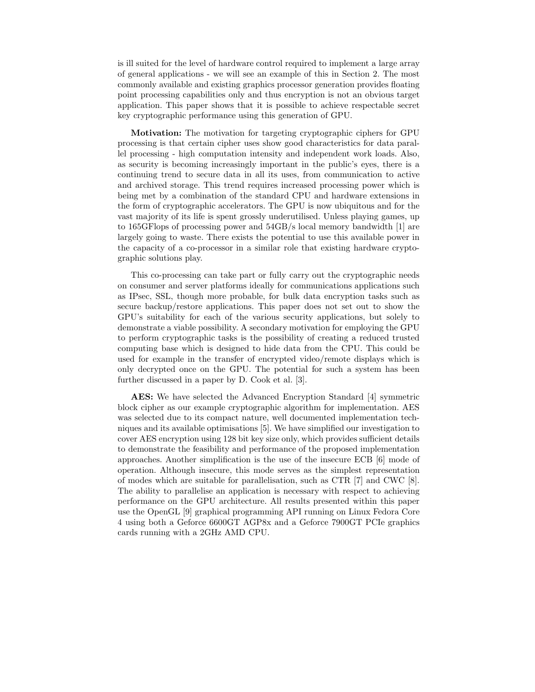is ill suited for the level of hardware control required to implement a large array of general applications - we will see an example of this in Section 2. The most commonly available and existing graphics processor generation provides floating point processing capabilities only and thus encryption is not an obvious target application. This paper shows that it is possible to achieve respectable secret key cryptographic performance using this generation of GPU.

Motivation: The motivation for targeting cryptographic ciphers for GPU processing is that certain cipher uses show good characteristics for data parallel processing - high computation intensity and independent work loads. Also, as security is becoming increasingly important in the public's eyes, there is a continuing trend to secure data in all its uses, from communication to active and archived storage. This trend requires increased processing power which is being met by a combination of the standard CPU and hardware extensions in the form of cryptographic accelerators. The GPU is now ubiquitous and for the vast majority of its life is spent grossly underutilised. Unless playing games, up to 165GFlops of processing power and 54GB/s local memory bandwidth [1] are largely going to waste. There exists the potential to use this available power in the capacity of a co-processor in a similar role that existing hardware cryptographic solutions play.

This co-processing can take part or fully carry out the cryptographic needs on consumer and server platforms ideally for communications applications such as IPsec, SSL, though more probable, for bulk data encryption tasks such as secure backup/restore applications. This paper does not set out to show the GPU's suitability for each of the various security applications, but solely to demonstrate a viable possibility. A secondary motivation for employing the GPU to perform cryptographic tasks is the possibility of creating a reduced trusted computing base which is designed to hide data from the CPU. This could be used for example in the transfer of encrypted video/remote displays which is only decrypted once on the GPU. The potential for such a system has been further discussed in a paper by D. Cook et al. [3].

AES: We have selected the Advanced Encryption Standard [4] symmetric block cipher as our example cryptographic algorithm for implementation. AES was selected due to its compact nature, well documented implementation techniques and its available optimisations [5]. We have simplified our investigation to cover AES encryption using 128 bit key size only, which provides sufficient details to demonstrate the feasibility and performance of the proposed implementation approaches. Another simplification is the use of the insecure ECB [6] mode of operation. Although insecure, this mode serves as the simplest representation of modes which are suitable for parallelisation, such as CTR [7] and CWC [8]. The ability to parallelise an application is necessary with respect to achieving performance on the GPU architecture. All results presented within this paper use the OpenGL [9] graphical programming API running on Linux Fedora Core 4 using both a Geforce 6600GT AGP8x and a Geforce 7900GT PCIe graphics cards running with a 2GHz AMD CPU.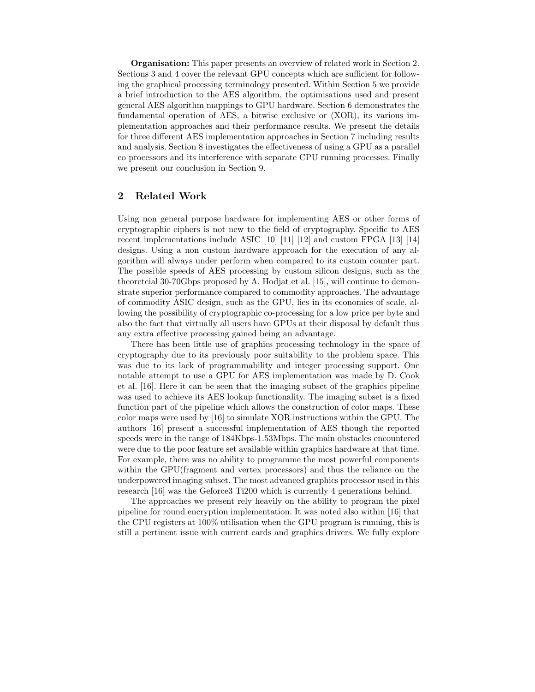Organisation: This paper presents an overview of related work in Section 2. Sections 3 and 4 cover the relevant GPU concepts which are sufficient for following the graphical processing terminology presented. Within Section 5 we provide a brief introduction to the AES algorithm, the optimisations used and present general AES algorithm mappings to GPU hardware. Section 6 demonstrates the fundamental operation of AES, a bitwise exclusive or (XOR), its various implementation approaches and their performance results. We present the details for three different AES implementation approaches in Section 7 including results and analysis. Section 8 investigates the effectiveness of using a GPU as a parallel co processors and its interference with separate CPU running processes. Finally we present our conclusion in Section 9.

# 2 Related Work

Using non general purpose hardware for implementing AES or other forms of cryptographic ciphers is not new to the field of cryptography. Specific to AES recent implementations include ASIC [10] [11] [12] and custom FPGA [13] [14] designs. Using a non custom hardware approach for the execution of any algorithm will always under perform when compared to its custom counter part. The possible speeds of AES processing by custom silicon designs, such as the theoretcial 30-70Gbps proposed by A. Hodjat et al. [15], will continue to demonstrate superior performance compared to commodity approaches. The advantage of commodity ASIC design, such as the GPU, lies in its economies of scale, allowing the possibility of cryptographic co-processing for a low price per byte and also the fact that virtually all users have GPUs at their disposal by default thus any extra effective processing gained being an advantage.

There has been little use of graphics processing technology in the space of cryptography due to its previously poor suitability to the problem space. This was due to its lack of programmability and integer processing support. One notable attempt to use a GPU for AES implementation was made by D. Cook et al. [16]. Here it can be seen that the imaging subset of the graphics pipeline was used to achieve its AES lookup functionality. The imaging subset is a fixed function part of the pipeline which allows the construction of color maps. These color maps were used by [16] to simulate XOR instructions within the GPU. The authors [16] present a successful implementation of AES though the reported speeds were in the range of 184Kbps-1.53Mbps. The main obstacles encountered were due to the poor feature set available within graphics hardware at that time. For example, there was no ability to programme the most powerful components within the GPU(fragment and vertex processors) and thus the reliance on the underpowered imaging subset. The most advanced graphics processor used in this research [16] was the Geforce3 Ti200 which is currently 4 generations behind.

The approaches we present rely heavily on the ability to program the pixel pipeline for round encryption implementation. It was noted also within [16] that the CPU registers at 100% utilisation when the GPU program is running, this is still a pertinent issue with current cards and graphics drivers. We fully explore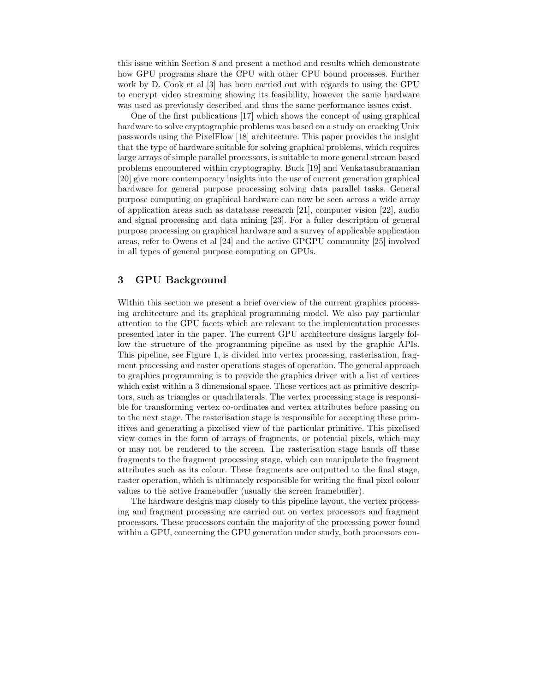this issue within Section 8 and present a method and results which demonstrate how GPU programs share the CPU with other CPU bound processes. Further work by D. Cook et al [3] has been carried out with regards to using the GPU to encrypt video streaming showing its feasibility, however the same hardware was used as previously described and thus the same performance issues exist.

One of the first publications [17] which shows the concept of using graphical hardware to solve cryptographic problems was based on a study on cracking Unix passwords using the PixelFlow [18] architecture. This paper provides the insight that the type of hardware suitable for solving graphical problems, which requires large arrays of simple parallel processors, is suitable to more general stream based problems encountered within cryptography. Buck [19] and Venkatasubramanian [20] give more contemporary insights into the use of current generation graphical hardware for general purpose processing solving data parallel tasks. General purpose computing on graphical hardware can now be seen across a wide array of application areas such as database research [21], computer vision [22], audio and signal processing and data mining [23]. For a fuller description of general purpose processing on graphical hardware and a survey of applicable application areas, refer to Owens et al [24] and the active GPGPU community [25] involved in all types of general purpose computing on GPUs.

# 3 GPU Background

Within this section we present a brief overview of the current graphics processing architecture and its graphical programming model. We also pay particular attention to the GPU facets which are relevant to the implementation processes presented later in the paper. The current GPU architecture designs largely follow the structure of the programming pipeline as used by the graphic APIs. This pipeline, see Figure 1, is divided into vertex processing, rasterisation, fragment processing and raster operations stages of operation. The general approach to graphics programming is to provide the graphics driver with a list of vertices which exist within a 3 dimensional space. These vertices act as primitive descriptors, such as triangles or quadrilaterals. The vertex processing stage is responsible for transforming vertex co-ordinates and vertex attributes before passing on to the next stage. The rasterisation stage is responsible for accepting these primitives and generating a pixelised view of the particular primitive. This pixelised view comes in the form of arrays of fragments, or potential pixels, which may or may not be rendered to the screen. The rasterisation stage hands off these fragments to the fragment processing stage, which can manipulate the fragment attributes such as its colour. These fragments are outputted to the final stage, raster operation, which is ultimately responsible for writing the final pixel colour values to the active framebuffer (usually the screen framebuffer).

The hardware designs map closely to this pipeline layout, the vertex processing and fragment processing are carried out on vertex processors and fragment processors. These processors contain the majority of the processing power found within a GPU, concerning the GPU generation under study, both processors con-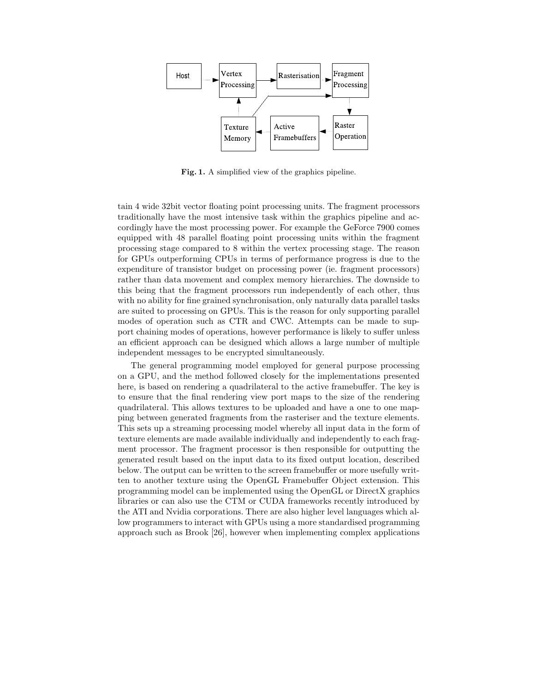

Fig. 1. A simplified view of the graphics pipeline.

tain 4 wide 32bit vector floating point processing units. The fragment processors traditionally have the most intensive task within the graphics pipeline and accordingly have the most processing power. For example the GeForce 7900 comes equipped with 48 parallel floating point processing units within the fragment processing stage compared to 8 within the vertex processing stage. The reason for GPUs outperforming CPUs in terms of performance progress is due to the expenditure of transistor budget on processing power (ie. fragment processors) rather than data movement and complex memory hierarchies. The downside to this being that the fragment processors run independently of each other, thus with no ability for fine grained synchronisation, only naturally data parallel tasks are suited to processing on GPUs. This is the reason for only supporting parallel modes of operation such as CTR and CWC. Attempts can be made to support chaining modes of operations, however performance is likely to suffer unless an efficient approach can be designed which allows a large number of multiple independent messages to be encrypted simultaneously.

The general programming model employed for general purpose processing on a GPU, and the method followed closely for the implementations presented here, is based on rendering a quadrilateral to the active framebuffer. The key is to ensure that the final rendering view port maps to the size of the rendering quadrilateral. This allows textures to be uploaded and have a one to one mapping between generated fragments from the rasteriser and the texture elements. This sets up a streaming processing model whereby all input data in the form of texture elements are made available individually and independently to each fragment processor. The fragment processor is then responsible for outputting the generated result based on the input data to its fixed output location, described below. The output can be written to the screen framebuffer or more usefully written to another texture using the OpenGL Framebuffer Object extension. This programming model can be implemented using the OpenGL or DirectX graphics libraries or can also use the CTM or CUDA frameworks recently introduced by the ATI and Nvidia corporations. There are also higher level languages which allow programmers to interact with GPUs using a more standardised programming approach such as Brook [26], however when implementing complex applications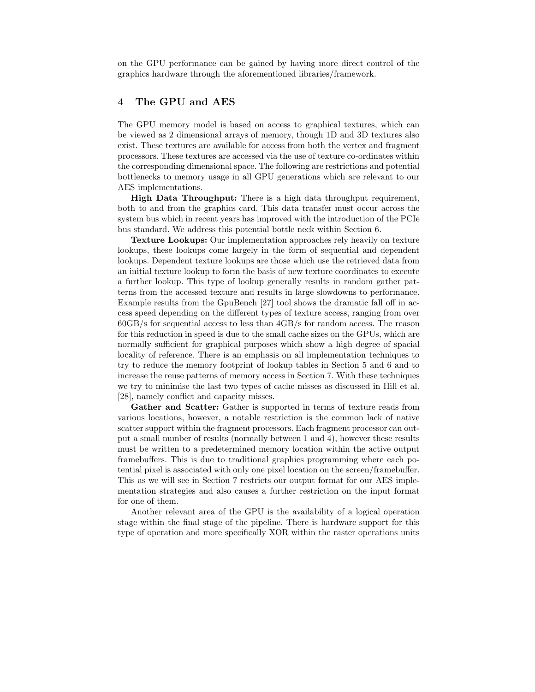on the GPU performance can be gained by having more direct control of the graphics hardware through the aforementioned libraries/framework.

# 4 The GPU and AES

The GPU memory model is based on access to graphical textures, which can be viewed as 2 dimensional arrays of memory, though 1D and 3D textures also exist. These textures are available for access from both the vertex and fragment processors. These textures are accessed via the use of texture co-ordinates within the corresponding dimensional space. The following are restrictions and potential bottlenecks to memory usage in all GPU generations which are relevant to our AES implementations.

High Data Throughput: There is a high data throughput requirement, both to and from the graphics card. This data transfer must occur across the system bus which in recent years has improved with the introduction of the PCIe bus standard. We address this potential bottle neck within Section 6.

Texture Lookups: Our implementation approaches rely heavily on texture lookups, these lookups come largely in the form of sequential and dependent lookups. Dependent texture lookups are those which use the retrieved data from an initial texture lookup to form the basis of new texture coordinates to execute a further lookup. This type of lookup generally results in random gather patterns from the accessed texture and results in large slowdowns to performance. Example results from the GpuBench [27] tool shows the dramatic fall off in access speed depending on the different types of texture access, ranging from over 60GB/s for sequential access to less than 4GB/s for random access. The reason for this reduction in speed is due to the small cache sizes on the GPUs, which are normally sufficient for graphical purposes which show a high degree of spacial locality of reference. There is an emphasis on all implementation techniques to try to reduce the memory footprint of lookup tables in Section 5 and 6 and to increase the reuse patterns of memory access in Section 7. With these techniques we try to minimise the last two types of cache misses as discussed in Hill et al. [28], namely conflict and capacity misses.

Gather and Scatter: Gather is supported in terms of texture reads from various locations, however, a notable restriction is the common lack of native scatter support within the fragment processors. Each fragment processor can output a small number of results (normally between 1 and 4), however these results must be written to a predetermined memory location within the active output framebuffers. This is due to traditional graphics programming where each potential pixel is associated with only one pixel location on the screen/framebuffer. This as we will see in Section 7 restricts our output format for our AES implementation strategies and also causes a further restriction on the input format for one of them.

Another relevant area of the GPU is the availability of a logical operation stage within the final stage of the pipeline. There is hardware support for this type of operation and more specifically XOR within the raster operations units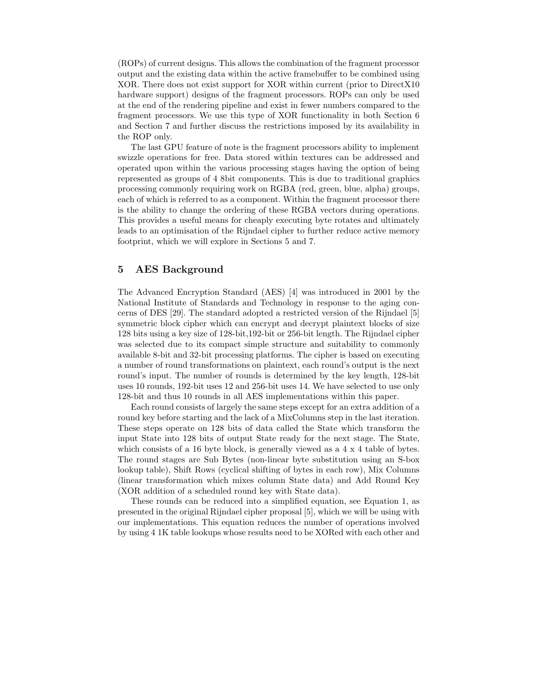(ROPs) of current designs. This allows the combination of the fragment processor output and the existing data within the active framebuffer to be combined using XOR. There does not exist support for XOR within current (prior to DirectX10 hardware support) designs of the fragment processors. ROPs can only be used at the end of the rendering pipeline and exist in fewer numbers compared to the fragment processors. We use this type of XOR functionality in both Section 6 and Section 7 and further discuss the restrictions imposed by its availability in the ROP only.

The last GPU feature of note is the fragment processors ability to implement swizzle operations for free. Data stored within textures can be addressed and operated upon within the various processing stages having the option of being represented as groups of 4 8bit components. This is due to traditional graphics processing commonly requiring work on RGBA (red, green, blue, alpha) groups, each of which is referred to as a component. Within the fragment processor there is the ability to change the ordering of these RGBA vectors during operations. This provides a useful means for cheaply executing byte rotates and ultimately leads to an optimisation of the Rijndael cipher to further reduce active memory footprint, which we will explore in Sections 5 and 7.

## 5 AES Background

The Advanced Encryption Standard (AES) [4] was introduced in 2001 by the National Institute of Standards and Technology in response to the aging concerns of DES [29]. The standard adopted a restricted version of the Rijndael [5] symmetric block cipher which can encrypt and decrypt plaintext blocks of size 128 bits using a key size of 128-bit,192-bit or 256-bit length. The Rijndael cipher was selected due to its compact simple structure and suitability to commonly available 8-bit and 32-bit processing platforms. The cipher is based on executing a number of round transformations on plaintext, each round's output is the next round's input. The number of rounds is determined by the key length, 128-bit uses 10 rounds, 192-bit uses 12 and 256-bit uses 14. We have selected to use only 128-bit and thus 10 rounds in all AES implementations within this paper.

Each round consists of largely the same steps except for an extra addition of a round key before starting and the lack of a MixColumns step in the last iteration. These steps operate on 128 bits of data called the State which transform the input State into 128 bits of output State ready for the next stage. The State, which consists of a 16 byte block, is generally viewed as a  $4 \times 4$  table of bytes. The round stages are Sub Bytes (non-linear byte substitution using an S-box lookup table), Shift Rows (cyclical shifting of bytes in each row), Mix Columns (linear transformation which mixes column State data) and Add Round Key (XOR addition of a scheduled round key with State data).

These rounds can be reduced into a simplified equation, see Equation 1, as presented in the original Rijndael cipher proposal [5], which we will be using with our implementations. This equation reduces the number of operations involved by using 4 1K table lookups whose results need to be XORed with each other and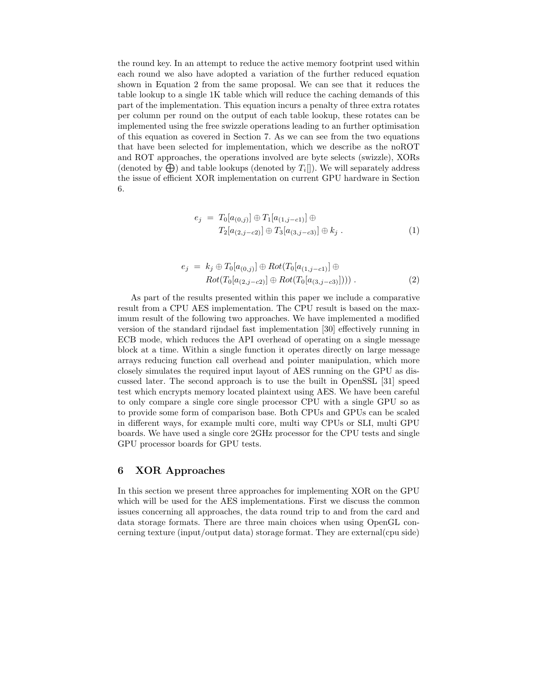the round key. In an attempt to reduce the active memory footprint used within each round we also have adopted a variation of the further reduced equation shown in Equation 2 from the same proposal. We can see that it reduces the table lookup to a single 1K table which will reduce the caching demands of this part of the implementation. This equation incurs a penalty of three extra rotates per column per round on the output of each table lookup, these rotates can be implemented using the free swizzle operations leading to an further optimisation of this equation as covered in Section 7. As we can see from the two equations that have been selected for implementation, which we describe as the noROT and ROT approaches, the operations involved are byte selects (swizzle), XORs (denoted by  $\bigoplus$ ) and table lookups (denoted by  $T_i[]$ ). We will separately address the issue of efficient XOR implementation on current GPU hardware in Section 6.

$$
e_j = T_0[a_{(0,j)}] \oplus T_1[a_{(1,j-c1)}] \oplus
$$
  
\n
$$
T_2[a_{(2,j-c2)}] \oplus T_3[a_{(3,j-c3)}] \oplus k_j .
$$
\n(1)

$$
e_j = k_j \oplus T_0[a_{(0,j)}] \oplus Rot(T_0[a_{(1,j-c1)}] \oplus
$$
  
\n
$$
Rot(T_0[a_{(2,j-c2)}] \oplus Rot(T_0[a_{(3,j-c3)}])) .
$$
\n(2)

As part of the results presented within this paper we include a comparative result from a CPU AES implementation. The CPU result is based on the maximum result of the following two approaches. We have implemented a modified version of the standard rijndael fast implementation [30] effectively running in ECB mode, which reduces the API overhead of operating on a single message block at a time. Within a single function it operates directly on large message arrays reducing function call overhead and pointer manipulation, which more closely simulates the required input layout of AES running on the GPU as discussed later. The second approach is to use the built in OpenSSL [31] speed test which encrypts memory located plaintext using AES. We have been careful to only compare a single core single processor CPU with a single GPU so as to provide some form of comparison base. Both CPUs and GPUs can be scaled in different ways, for example multi core, multi way CPUs or SLI, multi GPU boards. We have used a single core 2GHz processor for the CPU tests and single GPU processor boards for GPU tests.

#### 6 XOR Approaches

In this section we present three approaches for implementing XOR on the GPU which will be used for the AES implementations. First we discuss the common issues concerning all approaches, the data round trip to and from the card and data storage formats. There are three main choices when using OpenGL concerning texture (input/output data) storage format. They are external(cpu side)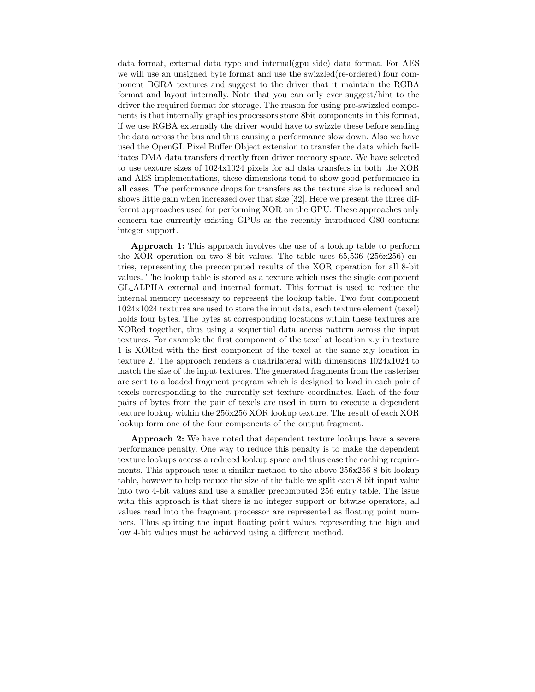data format, external data type and internal(gpu side) data format. For AES we will use an unsigned byte format and use the swizzled(re-ordered) four component BGRA textures and suggest to the driver that it maintain the RGBA format and layout internally. Note that you can only ever suggest/hint to the driver the required format for storage. The reason for using pre-swizzled components is that internally graphics processors store 8bit components in this format, if we use RGBA externally the driver would have to swizzle these before sending the data across the bus and thus causing a performance slow down. Also we have used the OpenGL Pixel Buffer Object extension to transfer the data which facilitates DMA data transfers directly from driver memory space. We have selected to use texture sizes of 1024x1024 pixels for all data transfers in both the XOR and AES implementations, these dimensions tend to show good performance in all cases. The performance drops for transfers as the texture size is reduced and shows little gain when increased over that size [32]. Here we present the three different approaches used for performing XOR on the GPU. These approaches only concern the currently existing GPUs as the recently introduced G80 contains integer support.

Approach 1: This approach involves the use of a lookup table to perform the XOR operation on two 8-bit values. The table uses 65,536 (256x256) entries, representing the precomputed results of the XOR operation for all 8-bit values. The lookup table is stored as a texture which uses the single component GL ALPHA external and internal format. This format is used to reduce the internal memory necessary to represent the lookup table. Two four component 1024x1024 textures are used to store the input data, each texture element (texel) holds four bytes. The bytes at corresponding locations within these textures are XORed together, thus using a sequential data access pattern across the input textures. For example the first component of the texel at location x,y in texture 1 is XORed with the first component of the texel at the same x,y location in texture 2. The approach renders a quadrilateral with dimensions 1024x1024 to match the size of the input textures. The generated fragments from the rasteriser are sent to a loaded fragment program which is designed to load in each pair of texels corresponding to the currently set texture coordinates. Each of the four pairs of bytes from the pair of texels are used in turn to execute a dependent texture lookup within the 256x256 XOR lookup texture. The result of each XOR lookup form one of the four components of the output fragment.

Approach 2: We have noted that dependent texture lookups have a severe performance penalty. One way to reduce this penalty is to make the dependent texture lookups access a reduced lookup space and thus ease the caching requirements. This approach uses a similar method to the above 256x256 8-bit lookup table, however to help reduce the size of the table we split each 8 bit input value into two 4-bit values and use a smaller precomputed 256 entry table. The issue with this approach is that there is no integer support or bitwise operators, all values read into the fragment processor are represented as floating point numbers. Thus splitting the input floating point values representing the high and low 4-bit values must be achieved using a different method.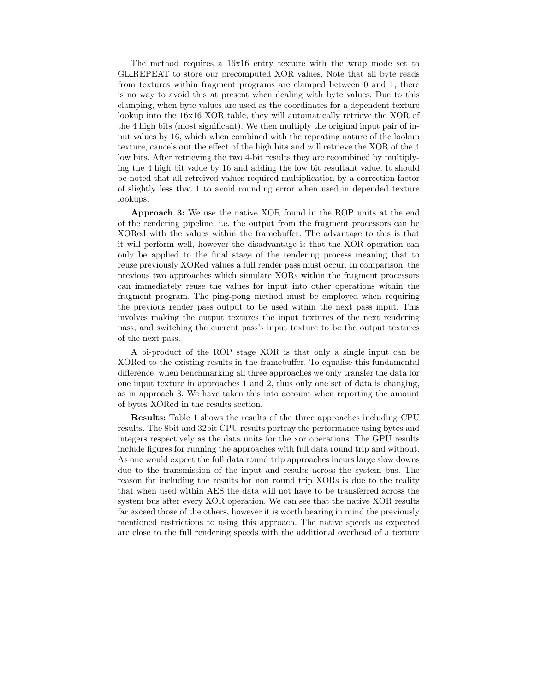The method requires a 16x16 entry texture with the wrap mode set to GL REPEAT to store our precomputed XOR values. Note that all byte reads from textures within fragment programs are clamped between 0 and 1, there is no way to avoid this at present when dealing with byte values. Due to this clamping, when byte values are used as the coordinates for a dependent texture lookup into the 16x16 XOR table, they will automatically retrieve the XOR of the 4 high bits (most significant). We then multiply the original input pair of input values by 16, which when combined with the repeating nature of the lookup texture, cancels out the effect of the high bits and will retrieve the XOR of the 4 low bits. After retrieving the two 4-bit results they are recombined by multiplying the 4 high bit value by 16 and adding the low bit resultant value. It should be noted that all retreived values required multiplication by a correction factor of slightly less that 1 to avoid rounding error when used in depended texture lookups.

Approach 3: We use the native XOR found in the ROP units at the end of the rendering pipeline, i.e. the output from the fragment processors can be XORed with the values within the framebuffer. The advantage to this is that it will perform well, however the disadvantage is that the XOR operation can only be applied to the final stage of the rendering process meaning that to reuse previously XORed values a full render pass must occur. In comparison, the previous two approaches which simulate XORs within the fragment processors can immediately reuse the values for input into other operations within the fragment program. The ping-pong method must be employed when requiring the previous render pass output to be used within the next pass input. This involves making the output textures the input textures of the next rendering pass, and switching the current pass's input texture to be the output textures of the next pass.

A bi-product of the ROP stage XOR is that only a single input can be XORed to the existing results in the framebuffer. To equalise this fundamental difference, when benchmarking all three approaches we only transfer the data for one input texture in approaches 1 and 2, thus only one set of data is changing, as in approach 3. We have taken this into account when reporting the amount of bytes XORed in the results section.

Results: Table 1 shows the results of the three approaches including CPU results. The 8bit and 32bit CPU results portray the performance using bytes and integers respectively as the data units for the xor operations. The GPU results include figures for running the approaches with full data round trip and without. As one would expect the full data round trip approaches incurs large slow downs due to the transmission of the input and results across the system bus. The reason for including the results for non round trip XORs is due to the reality that when used within AES the data will not have to be transferred across the system bus after every XOR operation. We can see that the native XOR results far exceed those of the others, however it is worth bearing in mind the previously mentioned restrictions to using this approach. The native speeds as expected are close to the full rendering speeds with the additional overhead of a texture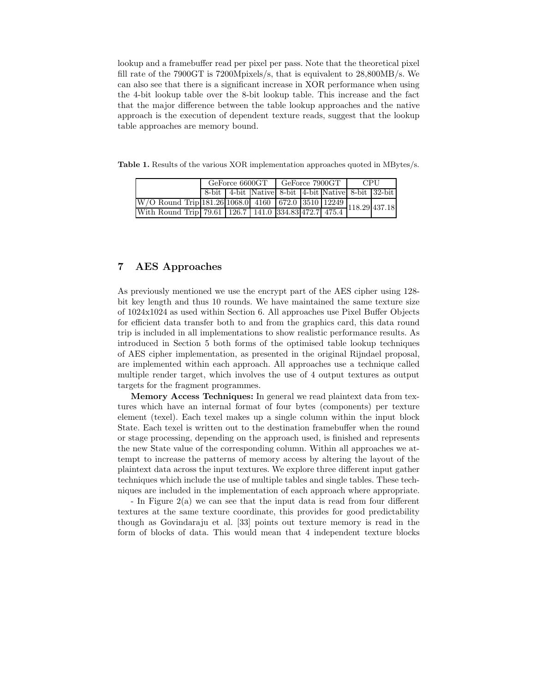lookup and a framebuffer read per pixel per pass. Note that the theoretical pixel fill rate of the 7900GT is 7200Mpixels/s, that is equivalent to 28,800MB/s. We can also see that there is a significant increase in XOR performance when using the 4-bit lookup table over the 8-bit lookup table. This increase and the fact that the major difference between the table lookup approaches and the native approach is the execution of dependent texture reads, suggest that the lookup table approaches are memory bound.

Table 1. Results of the various XOR implementation approaches quoted in MBytes/s.

|                                                                                                                          |  |  |                                                    | GeForce 6600GT   GeForce 7900GT |  |  | CPU |  |
|--------------------------------------------------------------------------------------------------------------------------|--|--|----------------------------------------------------|---------------------------------|--|--|-----|--|
|                                                                                                                          |  |  | 8-bit 4-bit Native 8-bit 4-bit Native 8-bit 32-bit |                                 |  |  |     |  |
| W/O Round Trip 181.26 1068.0 4160 672.0 3510 12249 118.29 437.18<br>With Round Trip 79.61 126.7 141.0 334.83 472.7 475.4 |  |  |                                                    |                                 |  |  |     |  |
|                                                                                                                          |  |  |                                                    |                                 |  |  |     |  |

# 7 AES Approaches

As previously mentioned we use the encrypt part of the AES cipher using 128 bit key length and thus 10 rounds. We have maintained the same texture size of 1024x1024 as used within Section 6. All approaches use Pixel Buffer Objects for efficient data transfer both to and from the graphics card, this data round trip is included in all implementations to show realistic performance results. As introduced in Section 5 both forms of the optimised table lookup techniques of AES cipher implementation, as presented in the original Rijndael proposal, are implemented within each approach. All approaches use a technique called multiple render target, which involves the use of 4 output textures as output targets for the fragment programmes.

Memory Access Techniques: In general we read plaintext data from textures which have an internal format of four bytes (components) per texture element (texel). Each texel makes up a single column within the input block State. Each texel is written out to the destination framebuffer when the round or stage processing, depending on the approach used, is finished and represents the new State value of the corresponding column. Within all approaches we attempt to increase the patterns of memory access by altering the layout of the plaintext data across the input textures. We explore three different input gather techniques which include the use of multiple tables and single tables. These techniques are included in the implementation of each approach where appropriate.

- In Figure 2(a) we can see that the input data is read from four different textures at the same texture coordinate, this provides for good predictability though as Govindaraju et al. [33] points out texture memory is read in the form of blocks of data. This would mean that 4 independent texture blocks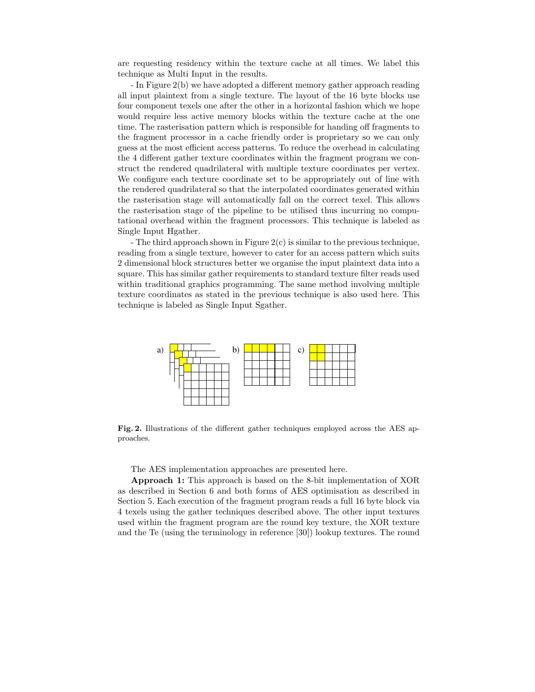are requesting residency within the texture cache at all times. We label this technique as Multi Input in the results.

- In Figure 2(b) we have adopted a different memory gather approach reading all input plaintext from a single texture. The layout of the 16 byte blocks use four component texels one after the other in a horizontal fashion which we hope would require less active memory blocks within the texture cache at the one time. The rasterisation pattern which is responsible for handing off fragments to the fragment processor in a cache friendly order is proprietary so we can only guess at the most efficient access patterns. To reduce the overhead in calculating the 4 different gather texture coordinates within the fragment program we construct the rendered quadrilateral with multiple texture coordinates per vertex. We configure each texture coordinate set to be appropriately out of line with the rendered quadrilateral so that the interpolated coordinates generated within the rasterisation stage will automatically fall on the correct texel. This allows the rasterisation stage of the pipeline to be utilised thus incurring no computational overhead within the fragment processors. This technique is labeled as Single Input Hgather.

- The third approach shown in Figure  $2(c)$  is similar to the previous technique, reading from a single texture, however to cater for an access pattern which suits 2 dimensional block structures better we organise the input plaintext data into a square. This has similar gather requirements to standard texture filter reads used within traditional graphics programming. The same method involving multiple texture coordinates as stated in the previous technique is also used here. This technique is labeled as Single Input Sgather.



Fig. 2. Illustrations of the different gather techniques employed across the AES approaches.

The AES implementation approaches are presented here.

Approach 1: This approach is based on the 8-bit implementation of XOR as described in Section 6 and both forms of AES optimisation as described in Section 5. Each execution of the fragment program reads a full 16 byte block via 4 texels using the gather techniques described above. The other input textures used within the fragment program are the round key texture, the XOR texture and the Te (using the terminology in reference [30]) lookup textures. The round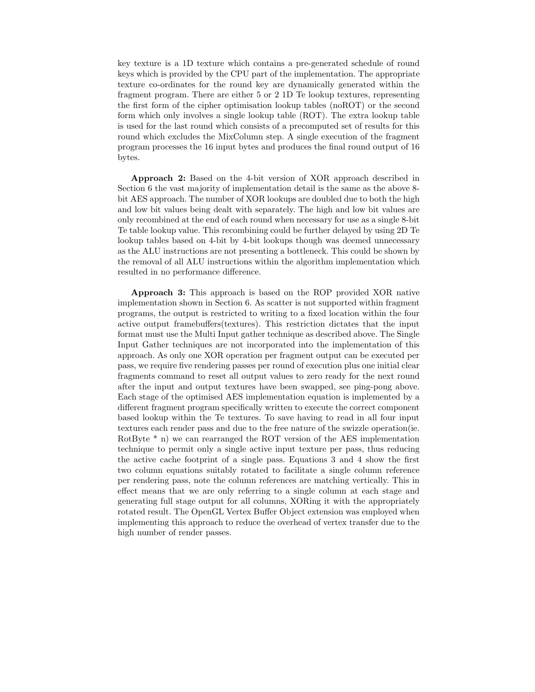key texture is a 1D texture which contains a pre-generated schedule of round keys which is provided by the CPU part of the implementation. The appropriate texture co-ordinates for the round key are dynamically generated within the fragment program. There are either 5 or 2 1D Te lookup textures, representing the first form of the cipher optimisation lookup tables (noROT) or the second form which only involves a single lookup table (ROT). The extra lookup table is used for the last round which consists of a precomputed set of results for this round which excludes the MixColumn step. A single execution of the fragment program processes the 16 input bytes and produces the final round output of 16 bytes.

Approach 2: Based on the 4-bit version of XOR approach described in Section 6 the vast majority of implementation detail is the same as the above 8 bit AES approach. The number of XOR lookups are doubled due to both the high and low bit values being dealt with separately. The high and low bit values are only recombined at the end of each round when necessary for use as a single 8-bit Te table lookup value. This recombining could be further delayed by using 2D Te lookup tables based on 4-bit by 4-bit lookups though was deemed unnecessary as the ALU instructions are not presenting a bottleneck. This could be shown by the removal of all ALU instructions within the algorithm implementation which resulted in no performance difference.

Approach 3: This approach is based on the ROP provided XOR native implementation shown in Section 6. As scatter is not supported within fragment programs, the output is restricted to writing to a fixed location within the four active output framebuffers(textures). This restriction dictates that the input format must use the Multi Input gather technique as described above. The Single Input Gather techniques are not incorporated into the implementation of this approach. As only one XOR operation per fragment output can be executed per pass, we require five rendering passes per round of execution plus one initial clear fragments command to reset all output values to zero ready for the next round after the input and output textures have been swapped, see ping-pong above. Each stage of the optimised AES implementation equation is implemented by a different fragment program specifically written to execute the correct component based lookup within the Te textures. To save having to read in all four input textures each render pass and due to the free nature of the swizzle operation(ie. RotByte \* n) we can rearranged the ROT version of the AES implementation technique to permit only a single active input texture per pass, thus reducing the active cache footprint of a single pass. Equations 3 and 4 show the first two column equations suitably rotated to facilitate a single column reference per rendering pass, note the column references are matching vertically. This in effect means that we are only referring to a single column at each stage and generating full stage output for all columns, XORing it with the appropriately rotated result. The OpenGL Vertex Buffer Object extension was employed when implementing this approach to reduce the overhead of vertex transfer due to the high number of render passes.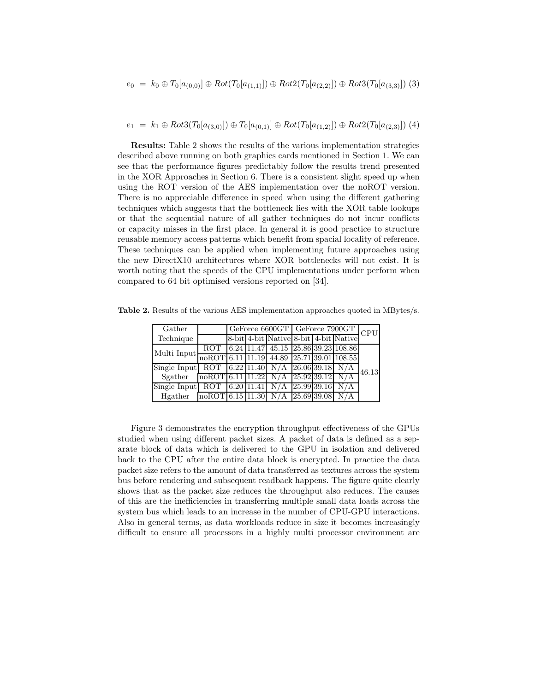$$
e_0 = k_0 \oplus T_0[a_{(0,0)}] \oplus Rot(T_0[a_{(1,1)}]) \oplus Rot2(T_0[a_{(2,2)}]) \oplus Rot3(T_0[a_{(3,3)}])
$$
(3)

$$
e_1 = k_1 \oplus Rot3(T_0[a_{(3,0)}]) \oplus T_0[a_{(0,1)}] \oplus Rot(T_0[a_{(1,2)}]) \oplus Rot2(T_0[a_{(2,3)}]) \tag{4}
$$

Results: Table 2 shows the results of the various implementation strategies described above running on both graphics cards mentioned in Section 1. We can see that the performance figures predictably follow the results trend presented in the XOR Approaches in Section 6. There is a consistent slight speed up when using the ROT version of the AES implementation over the noROT version. There is no appreciable difference in speed when using the different gathering techniques which suggests that the bottleneck lies with the XOR table lookups or that the sequential nature of all gather techniques do not incur conflicts or capacity misses in the first place. In general it is good practice to structure reusable memory access patterns which benefit from spacial locality of reference. These techniques can be applied when implementing future approaches using the new DirectX10 architectures where XOR bottlenecks will not exist. It is worth noting that the speeds of the CPU implementations under perform when compared to 64 bit optimised versions reported on [34].

| Gather                                                |                  | GeForce 6600GT GeForce 7900GT |            |                                         |  |             |     | <b>CPU</b> |
|-------------------------------------------------------|------------------|-------------------------------|------------|-----------------------------------------|--|-------------|-----|------------|
| Technique                                             |                  |                               |            | 8-bit 4-bit Native 8-bit 4-bit Native   |  |             |     |            |
| Multi Input noROT 6.11 11.19 44.89 25.71 39.01 108.55 | ROT              |                               |            | $(6.24)$ 11.47 45.15 25.86 39.23 108.86 |  |             |     |            |
|                                                       |                  |                               |            |                                         |  |             |     |            |
| Single Input                                          | ROT              |                               |            | $6.22$ 11.40 N/A                        |  | 26.06 39.18 | N/A | 46.13      |
| Sgather                                               | noROT 6.11 11.22 |                               |            | N/A                                     |  | 25.92 39.12 | N/A |            |
| Single Input                                          | ROT              |                               | 6.20 11.41 | N/A                                     |  | 25.99 39.16 | N/A |            |
| Hgather                                               | noROT 6.15 11.30 |                               |            | N/A                                     |  | 25.69 39.08 |     |            |

Table 2. Results of the various AES implementation approaches quoted in MBytes/s.

Figure 3 demonstrates the encryption throughput effectiveness of the GPUs studied when using different packet sizes. A packet of data is defined as a separate block of data which is delivered to the GPU in isolation and delivered back to the CPU after the entire data block is encrypted. In practice the data packet size refers to the amount of data transferred as textures across the system bus before rendering and subsequent readback happens. The figure quite clearly shows that as the packet size reduces the throughput also reduces. The causes of this are the inefficiencies in transferring multiple small data loads across the system bus which leads to an increase in the number of CPU-GPU interactions. Also in general terms, as data workloads reduce in size it becomes increasingly difficult to ensure all processors in a highly multi processor environment are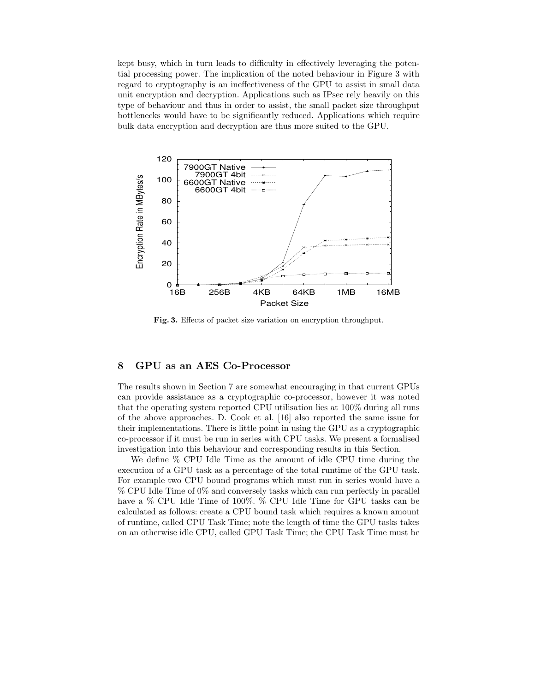kept busy, which in turn leads to difficulty in effectively leveraging the potential processing power. The implication of the noted behaviour in Figure 3 with regard to cryptography is an ineffectiveness of the GPU to assist in small data unit encryption and decryption. Applications such as IPsec rely heavily on this type of behaviour and thus in order to assist, the small packet size throughput bottlenecks would have to be significantly reduced. Applications which require bulk data encryption and decryption are thus more suited to the GPU.



Fig. 3. Effects of packet size variation on encryption throughput.

# 8 GPU as an AES Co-Processor

The results shown in Section 7 are somewhat encouraging in that current GPUs can provide assistance as a cryptographic co-processor, however it was noted that the operating system reported CPU utilisation lies at 100% during all runs of the above approaches. D. Cook et al. [16] also reported the same issue for their implementations. There is little point in using the GPU as a cryptographic co-processor if it must be run in series with CPU tasks. We present a formalised investigation into this behaviour and corresponding results in this Section.

We define % CPU Idle Time as the amount of idle CPU time during the execution of a GPU task as a percentage of the total runtime of the GPU task. For example two CPU bound programs which must run in series would have a % CPU Idle Time of 0% and conversely tasks which can run perfectly in parallel have a  $\%$  CPU Idle Time of 100%.  $\%$  CPU Idle Time for GPU tasks can be calculated as follows: create a CPU bound task which requires a known amount of runtime, called CPU Task Time; note the length of time the GPU tasks takes on an otherwise idle CPU, called GPU Task Time; the CPU Task Time must be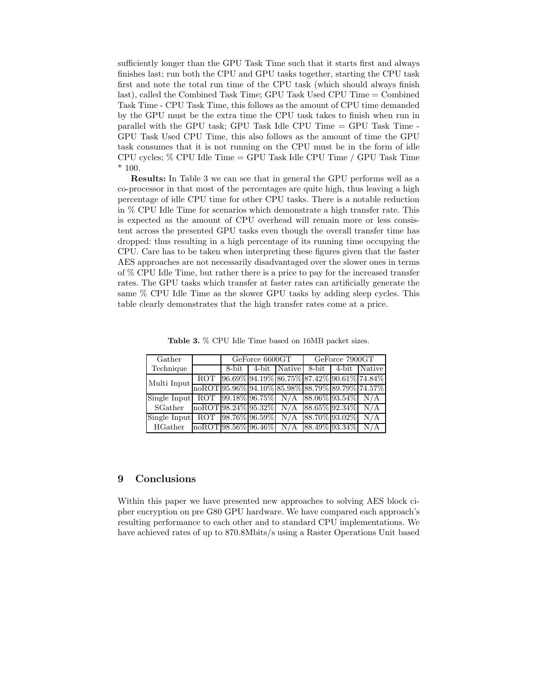sufficiently longer than the GPU Task Time such that it starts first and always finishes last; run both the CPU and GPU tasks together, starting the CPU task first and note the total run time of the CPU task (which should always finish last), called the Combined Task Time; GPU Task Used CPU Time = Combined Task Time - CPU Task Time, this follows as the amount of CPU time demanded by the GPU must be the extra time the CPU task takes to finish when run in parallel with the GPU task; GPU Task Idle CPU Time = GPU Task Time - GPU Task Used CPU Time, this also follows as the amount of time the GPU task consumes that it is not running on the CPU must be in the form of idle CPU cycles; % CPU Idle Time = GPU Task Idle CPU Time / GPU Task Time \* 100.

Results: In Table 3 we can see that in general the GPU performs well as a co-processor in that most of the percentages are quite high, thus leaving a high percentage of idle CPU time for other CPU tasks. There is a notable reduction in % CPU Idle Time for scenarios which demonstrate a high transfer rate. This is expected as the amount of CPU overhead will remain more or less consistent across the presented GPU tasks even though the overall transfer time has dropped: thus resulting in a high percentage of its running time occupying the CPU. Care has to be taken when interpreting these figures given that the faster AES approaches are not necessarily disadvantaged over the slower ones in terms of % CPU Idle Time, but rather there is a price to pay for the increased transfer rates. The GPU tasks which transfer at faster rates can artificially generate the same % CPU Idle Time as the slower GPU tasks by adding sleep cycles. This table clearly demonstrates that the high transfer rates come at a price.

| Gather                                                      |                                                     |       | GeForce 6600GT |                                         | GeForce 7900GT |  |                                           |  |
|-------------------------------------------------------------|-----------------------------------------------------|-------|----------------|-----------------------------------------|----------------|--|-------------------------------------------|--|
| Technique                                                   |                                                     | 8-bit |                | 4-bit Native 8-bit 4-bit Native         |                |  |                                           |  |
| Multi Input noROT 95.96% 94.10% 85.98% 88.79% 89.79% 74.57% | <b>ROT</b>                                          |       |                |                                         |                |  | 96.69% 94.19% 86.75% 87.42% 90.61% 74.84% |  |
|                                                             |                                                     |       |                |                                         |                |  |                                           |  |
| Single Input                                                |                                                     |       |                | ROT 99.18% 96.75% N/A 88.06% 93.54% N/A |                |  |                                           |  |
| SGather                                                     | $noROT[98.24\%[95.32\%] N/A [88.65\%[92.34\%] N/A]$ |       |                |                                         |                |  |                                           |  |
| Single Input ROT 98.76% 96.59% N/A 88.70% 93.02% N/A        |                                                     |       |                |                                         |                |  |                                           |  |
| HGather                                                     | $noROT$ 98.56% 96.46% N/A 88.49% 93.34% N/A         |       |                |                                         |                |  |                                           |  |

Table 3. % CPU Idle Time based on 16MB packet sizes.

#### 9 Conclusions

Within this paper we have presented new approaches to solving AES block cipher encryption on pre G80 GPU hardware. We have compared each approach's resulting performance to each other and to standard CPU implementations. We have achieved rates of up to 870.8Mbits/s using a Raster Operations Unit based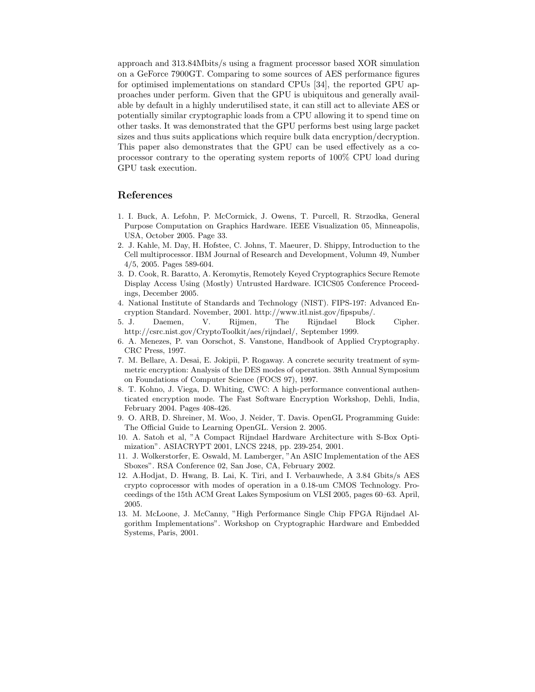approach and 313.84Mbits/s using a fragment processor based XOR simulation on a GeForce 7900GT. Comparing to some sources of AES performance figures for optimised implementations on standard CPUs [34], the reported GPU approaches under perform. Given that the GPU is ubiquitous and generally available by default in a highly underutilised state, it can still act to alleviate AES or potentially similar cryptographic loads from a CPU allowing it to spend time on other tasks. It was demonstrated that the GPU performs best using large packet sizes and thus suits applications which require bulk data encryption/decryption. This paper also demonstrates that the GPU can be used effectively as a coprocessor contrary to the operating system reports of 100% CPU load during GPU task execution.

#### References

- 1. I. Buck, A. Lefohn, P. McCormick, J. Owens, T. Purcell, R. Strzodka, General Purpose Computation on Graphics Hardware. IEEE Visualization 05, Minneapolis, USA, October 2005. Page 33.
- 2. J. Kahle, M. Day, H. Hofstee, C. Johns, T. Maeurer, D. Shippy, Introduction to the Cell multiprocessor. IBM Journal of Research and Development, Volumn 49, Number 4/5, 2005. Pages 589-604.
- 3. D. Cook, R. Baratto, A. Keromytis, Remotely Keyed Cryptographics Secure Remote Display Access Using (Mostly) Untrusted Hardware. ICICS05 Conference Proceedings, December 2005.
- 4. National Institute of Standards and Technology (NIST). FIPS-197: Advanced Encryption Standard. November, 2001. http://www.itl.nist.gov/fipspubs/.
- 5. J. Daemen, V. Rijmen, The Rijndael Block Cipher. http://csrc.nist.gov/CryptoToolkit/aes/rijndael/, September 1999.
- 6. A. Menezes, P. van Oorschot, S. Vanstone, Handbook of Applied Cryptography. CRC Press, 1997.
- 7. M. Bellare, A. Desai, E. Jokipii, P. Rogaway. A concrete security treatment of symmetric encryption: Analysis of the DES modes of operation. 38th Annual Symposium on Foundations of Computer Science (FOCS 97), 1997.
- 8. T. Kohno, J. Viega, D. Whiting, CWC: A high-performance conventional authenticated encryption mode. The Fast Software Encryption Workshop, Dehli, India, February 2004. Pages 408-426.
- 9. O. ARB, D. Shreiner, M. Woo, J. Neider, T. Davis. OpenGL Programming Guide: The Official Guide to Learning OpenGL. Version 2. 2005.
- 10. A. Satoh et al, "A Compact Rijndael Hardware Architecture with S-Box Optimization". ASIACRYPT 2001, LNCS 2248, pp. 239-254, 2001.
- 11. J. Wolkerstorfer, E. Oswald, M. Lamberger, "An ASIC Implementation of the AES Sboxes". RSA Conference 02, San Jose, CA, February 2002.
- 12. A.Hodjat, D. Hwang, B. Lai, K. Tiri, and I. Verbauwhede, A 3.84 Gbits/s AES crypto coprocessor with modes of operation in a 0.18-um CMOS Technology. Proceedings of the 15th ACM Great Lakes Symposium on VLSI 2005, pages 60–63. April, 2005.
- 13. M. McLoone, J. McCanny, "High Performance Single Chip FPGA Rijndael Algorithm Implementations". Workshop on Cryptographic Hardware and Embedded Systems, Paris, 2001.